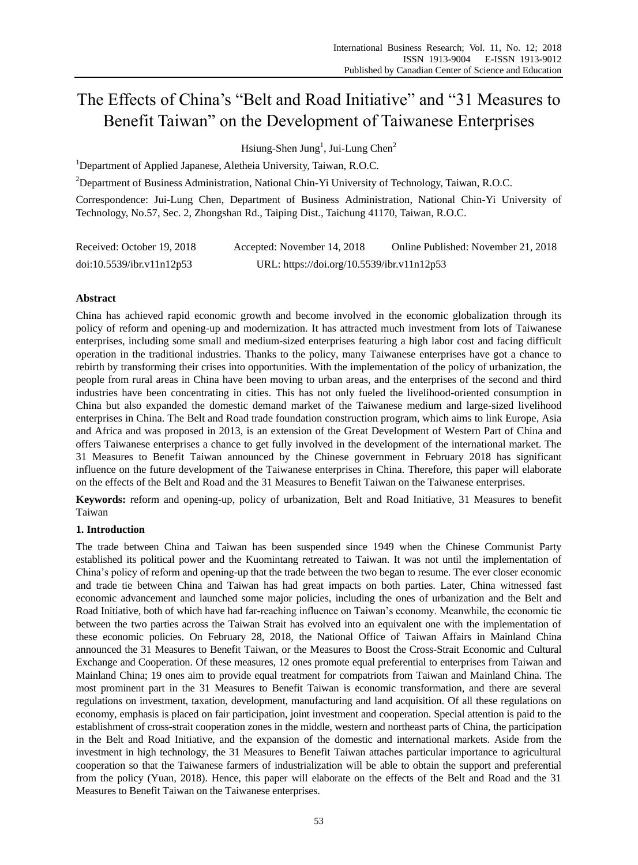# The Effects of China's "Belt and Road Initiative" and "31 Measures to Benefit Taiwan" on the Development of Taiwanese Enterprises

Hsiung-Shen Jung<sup>1</sup>, Jui-Lung Chen<sup>2</sup>

<sup>1</sup>Department of Applied Japanese, Aletheia University, Taiwan, R.O.C.

<sup>2</sup>Department of Business Administration, National Chin-Yi University of Technology, Taiwan, R.O.C.

Correspondence: Jui-Lung Chen, Department of Business Administration, National Chin-Yi University of Technology, No.57, Sec. 2, Zhongshan Rd., Taiping Dist., Taichung 41170, Taiwan, R.O.C.

| Received: October 19, 2018 | Accepted: November 14, 2018                | Online Published: November 21, 2018 |
|----------------------------|--------------------------------------------|-------------------------------------|
| doi:10.5539/ibr.v11n12p53  | URL: https://doi.org/10.5539/ibr.v11n12p53 |                                     |

# **Abstract**

China has achieved rapid economic growth and become involved in the economic globalization through its policy of reform and opening-up and modernization. It has attracted much investment from lots of Taiwanese enterprises, including some small and medium-sized enterprises featuring a high labor cost and facing difficult operation in the traditional industries. Thanks to the policy, many Taiwanese enterprises have got a chance to rebirth by transforming their crises into opportunities. With the implementation of the policy of urbanization, the people from rural areas in China have been moving to urban areas, and the enterprises of the second and third industries have been concentrating in cities. This has not only fueled the livelihood-oriented consumption in China but also expanded the domestic demand market of the Taiwanese medium and large-sized livelihood enterprises in China. The Belt and Road trade foundation construction program, which aims to link Europe, Asia and Africa and was proposed in 2013, is an extension of the Great Development of Western Part of China and offers Taiwanese enterprises a chance to get fully involved in the development of the international market. The 31 Measures to Benefit Taiwan announced by the Chinese government in February 2018 has significant influence on the future development of the Taiwanese enterprises in China. Therefore, this paper will elaborate on the effects of the Belt and Road and the 31 Measures to Benefit Taiwan on the Taiwanese enterprises.

**Keywords:** reform and opening-up, policy of urbanization, Belt and Road Initiative, 31 Measures to benefit Taiwan

# **1. Introduction**

The trade between China and Taiwan has been suspended since 1949 when the Chinese Communist Party established its political power and the Kuomintang retreated to Taiwan. It was not until the implementation of China's policy of reform and opening-up that the trade between the two began to resume. The ever closer economic and trade tie between China and Taiwan has had great impacts on both parties. Later, China witnessed fast economic advancement and launched some major policies, including the ones of urbanization and the Belt and Road Initiative, both of which have had far-reaching influence on Taiwan's economy. Meanwhile, the economic tie between the two parties across the Taiwan Strait has evolved into an equivalent one with the implementation of these economic policies. On February 28, 2018, the National Office of Taiwan Affairs in Mainland China announced the 31 Measures to Benefit Taiwan, or the Measures to Boost the Cross-Strait Economic and Cultural Exchange and Cooperation. Of these measures, 12 ones promote equal preferential to enterprises from Taiwan and Mainland China; 19 ones aim to provide equal treatment for compatriots from Taiwan and Mainland China. The most prominent part in the 31 Measures to Benefit Taiwan is economic transformation, and there are several regulations on investment, taxation, development, manufacturing and land acquisition. Of all these regulations on economy, emphasis is placed on fair participation, joint investment and cooperation. Special attention is paid to the establishment of cross-strait cooperation zones in the middle, western and northeast parts of China, the participation in the Belt and Road Initiative, and the expansion of the domestic and international markets. Aside from the investment in high technology, the 31 Measures to Benefit Taiwan attaches particular importance to agricultural cooperation so that the Taiwanese farmers of industrialization will be able to obtain the support and preferential from the policy (Yuan, 2018). Hence, this paper will elaborate on the effects of the Belt and Road and the 31 Measures to Benefit Taiwan on the Taiwanese enterprises.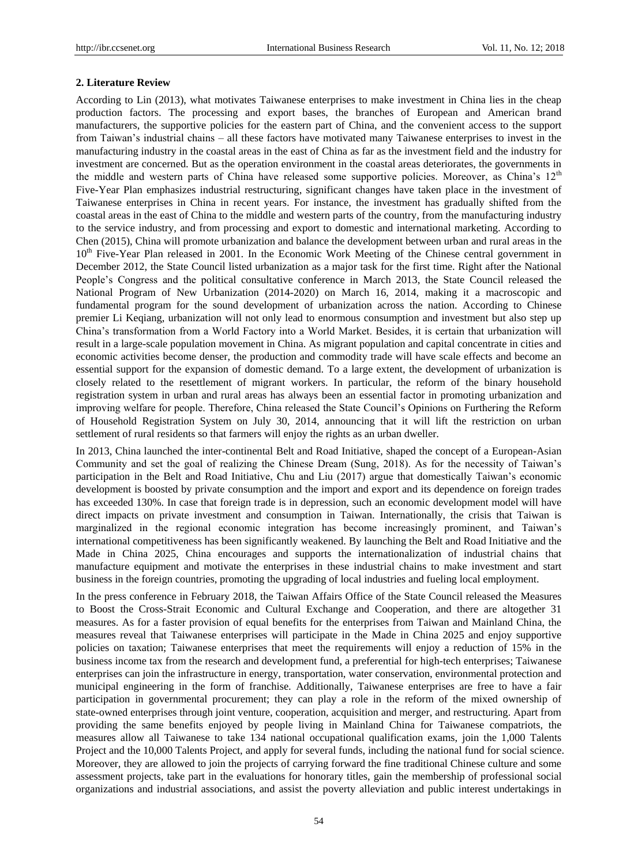## **2. Literature Review**

According to Lin (2013), what motivates Taiwanese enterprises to make investment in China lies in the cheap production factors. The processing and export bases, the branches of European and American brand manufacturers, the supportive policies for the eastern part of China, and the convenient access to the support from Taiwan's industrial chains – all these factors have motivated many Taiwanese enterprises to invest in the manufacturing industry in the coastal areas in the east of China as far as the investment field and the industry for investment are concerned. But as the operation environment in the coastal areas deteriorates, the governments in the middle and western parts of China have released some supportive policies. Moreover, as China's 12<sup>th</sup> Five-Year Plan emphasizes industrial restructuring, significant changes have taken place in the investment of Taiwanese enterprises in China in recent years. For instance, the investment has gradually shifted from the coastal areas in the east of China to the middle and western parts of the country, from the manufacturing industry to the service industry, and from processing and export to domestic and international marketing. According to Chen (2015), China will promote urbanization and balance the development between urban and rural areas in the 10<sup>th</sup> Five-Year Plan released in 2001. In the Economic Work Meeting of the Chinese central government in December 2012, the State Council listed urbanization as a major task for the first time. Right after the National People's Congress and the political consultative conference in March 2013, the State Council released the National Program of New Urbanization (2014-2020) on March 16, 2014, making it a macroscopic and fundamental program for the sound development of urbanization across the nation. According to Chinese premier Li Keqiang, urbanization will not only lead to enormous consumption and investment but also step up China's transformation from a World Factory into a World Market. Besides, it is certain that urbanization will result in a large-scale population movement in China. As migrant population and capital concentrate in cities and economic activities become denser, the production and commodity trade will have scale effects and become an essential support for the expansion of domestic demand. To a large extent, the development of urbanization is closely related to the resettlement of migrant workers. In particular, the reform of the binary household registration system in urban and rural areas has always been an essential factor in promoting urbanization and improving welfare for people. Therefore, China released the State Council's Opinions on Furthering the Reform of Household Registration System on July 30, 2014, announcing that it will lift the restriction on urban settlement of rural residents so that farmers will enjoy the rights as an urban dweller.

In 2013, China launched the inter-continental Belt and Road Initiative, shaped the concept of a European-Asian Community and set the goal of realizing the Chinese Dream (Sung, 2018). As for the necessity of Taiwan's participation in the Belt and Road Initiative, Chu and Liu (2017) argue that domestically Taiwan's economic development is boosted by private consumption and the import and export and its dependence on foreign trades has exceeded 130%. In case that foreign trade is in depression, such an economic development model will have direct impacts on private investment and consumption in Taiwan. Internationally, the crisis that Taiwan is marginalized in the regional economic integration has become increasingly prominent, and Taiwan's international competitiveness has been significantly weakened. By launching the Belt and Road Initiative and the Made in China 2025, China encourages and supports the internationalization of industrial chains that manufacture equipment and motivate the enterprises in these industrial chains to make investment and start business in the foreign countries, promoting the upgrading of local industries and fueling local employment.

In the press conference in February 2018, the Taiwan Affairs Office of the State Council released the Measures to Boost the Cross-Strait Economic and Cultural Exchange and Cooperation, and there are altogether 31 measures. As for a faster provision of equal benefits for the enterprises from Taiwan and Mainland China, the measures reveal that Taiwanese enterprises will participate in the Made in China 2025 and enjoy supportive policies on taxation; Taiwanese enterprises that meet the requirements will enjoy a reduction of 15% in the business income tax from the research and development fund, a preferential for high-tech enterprises; Taiwanese enterprises can join the infrastructure in energy, transportation, water conservation, environmental protection and municipal engineering in the form of franchise. Additionally, Taiwanese enterprises are free to have a fair participation in governmental procurement; they can play a role in the reform of the mixed ownership of state-owned enterprises through joint venture, cooperation, acquisition and merger, and restructuring. Apart from providing the same benefits enjoyed by people living in Mainland China for Taiwanese compatriots, the measures allow all Taiwanese to take 134 national occupational qualification exams, join the 1,000 Talents Project and the 10,000 Talents Project, and apply for several funds, including the national fund for social science. Moreover, they are allowed to join the projects of carrying forward the fine traditional Chinese culture and some assessment projects, take part in the evaluations for honorary titles, gain the membership of professional social organizations and industrial associations, and assist the poverty alleviation and public interest undertakings in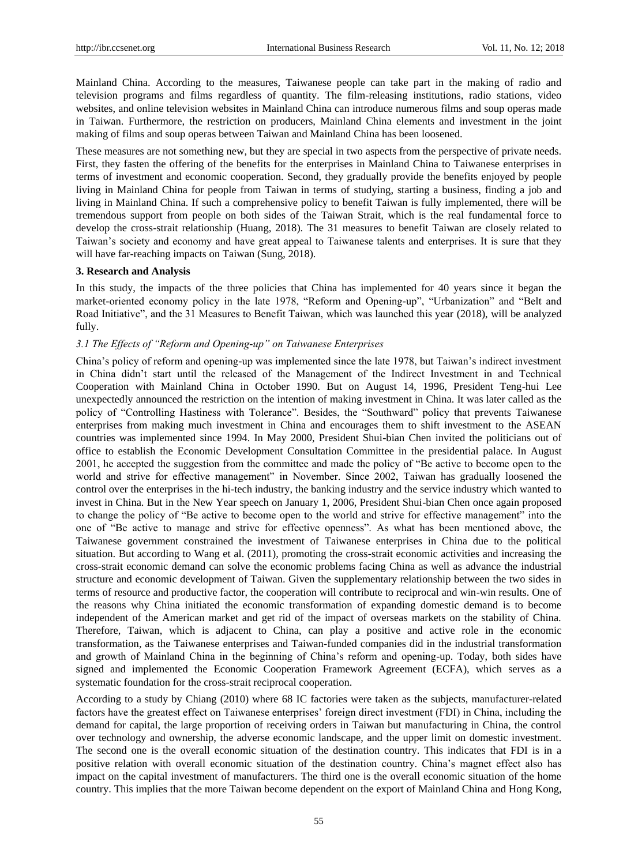Mainland China. According to the measures, Taiwanese people can take part in the making of radio and television programs and films regardless of quantity. The film-releasing institutions, radio stations, video websites, and online television websites in Mainland China can introduce numerous films and soup operas made in Taiwan. Furthermore, the restriction on producers, Mainland China elements and investment in the joint making of films and soup operas between Taiwan and Mainland China has been loosened.

These measures are not something new, but they are special in two aspects from the perspective of private needs. First, they fasten the offering of the benefits for the enterprises in Mainland China to Taiwanese enterprises in terms of investment and economic cooperation. Second, they gradually provide the benefits enjoyed by people living in Mainland China for people from Taiwan in terms of studying, starting a business, finding a job and living in Mainland China. If such a comprehensive policy to benefit Taiwan is fully implemented, there will be tremendous support from people on both sides of the Taiwan Strait, which is the real fundamental force to develop the cross-strait relationship (Huang, 2018). The 31 measures to benefit Taiwan are closely related to Taiwan's society and economy and have great appeal to Taiwanese talents and enterprises. It is sure that they will have far-reaching impacts on Taiwan (Sung, 2018).

## **3. Research and Analysis**

In this study, the impacts of the three policies that China has implemented for 40 years since it began the market-oriented economy policy in the late 1978, "Reform and Opening-up", "Urbanization" and "Belt and Road Initiative", and the 31 Measures to Benefit Taiwan, which was launched this year (2018), will be analyzed fully.

## *3.1 The Effects of "Reform and Opening-up" on Taiwanese Enterprises*

China's policy of reform and opening-up was implemented since the late 1978, but Taiwan's indirect investment in China didn't start until the released of the Management of the Indirect Investment in and Technical Cooperation with Mainland China in October 1990. But on August 14, 1996, President Teng-hui Lee unexpectedly announced the restriction on the intention of making investment in China. It was later called as the policy of "Controlling Hastiness with Tolerance". Besides, the "Southward" policy that prevents Taiwanese enterprises from making much investment in China and encourages them to shift investment to the ASEAN countries was implemented since 1994. In May 2000, President Shui-bian Chen invited the politicians out of office to establish the Economic Development Consultation Committee in the presidential palace. In August 2001, he accepted the suggestion from the committee and made the policy of "Be active to become open to the world and strive for effective management" in November. Since 2002, Taiwan has gradually loosened the control over the enterprises in the hi-tech industry, the banking industry and the service industry which wanted to invest in China. But in the New Year speech on January 1, 2006, President Shui-bian Chen once again proposed to change the policy of "Be active to become open to the world and strive for effective management" into the one of "Be active to manage and strive for effective openness". As what has been mentioned above, the Taiwanese government constrained the investment of Taiwanese enterprises in China due to the political situation. But according to Wang et al. (2011), promoting the cross-strait economic activities and increasing the cross-strait economic demand can solve the economic problems facing China as well as advance the industrial structure and economic development of Taiwan. Given the supplementary relationship between the two sides in terms of resource and productive factor, the cooperation will contribute to reciprocal and win-win results. One of the reasons why China initiated the economic transformation of expanding domestic demand is to become independent of the American market and get rid of the impact of overseas markets on the stability of China. Therefore, Taiwan, which is adjacent to China, can play a positive and active role in the economic transformation, as the Taiwanese enterprises and Taiwan-funded companies did in the industrial transformation and growth of Mainland China in the beginning of China's reform and opening-up. Today, both sides have signed and implemented the Economic Cooperation Framework Agreement (ECFA), which serves as a systematic foundation for the cross-strait reciprocal cooperation.

According to a study by Chiang (2010) where 68 IC factories were taken as the subjects, manufacturer-related factors have the greatest effect on Taiwanese enterprises' foreign direct investment (FDI) in China, including the demand for capital, the large proportion of receiving orders in Taiwan but manufacturing in China, the control over technology and ownership, the adverse economic landscape, and the upper limit on domestic investment. The second one is the overall economic situation of the destination country. This indicates that FDI is in a positive relation with overall economic situation of the destination country. China's magnet effect also has impact on the capital investment of manufacturers. The third one is the overall economic situation of the home country. This implies that the more Taiwan become dependent on the export of Mainland China and Hong Kong,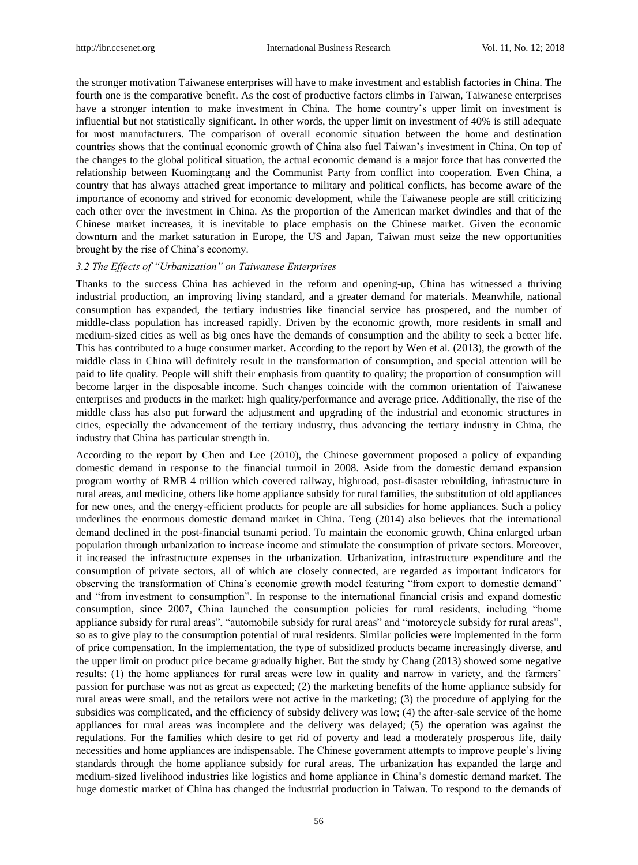the stronger motivation Taiwanese enterprises will have to make investment and establish factories in China. The fourth one is the comparative benefit. As the cost of productive factors climbs in Taiwan, Taiwanese enterprises have a stronger intention to make investment in China. The home country's upper limit on investment is influential but not statistically significant. In other words, the upper limit on investment of 40% is still adequate for most manufacturers. The comparison of overall economic situation between the home and destination countries shows that the continual economic growth of China also fuel Taiwan's investment in China. On top of the changes to the global political situation, the actual economic demand is a major force that has converted the relationship between Kuomingtang and the Communist Party from conflict into cooperation. Even China, a country that has always attached great importance to military and political conflicts, has become aware of the importance of economy and strived for economic development, while the Taiwanese people are still criticizing each other over the investment in China. As the proportion of the American market dwindles and that of the Chinese market increases, it is inevitable to place emphasis on the Chinese market. Given the economic downturn and the market saturation in Europe, the US and Japan, Taiwan must seize the new opportunities brought by the rise of China's economy.

## *3.2 The Effects of "Urbanization" on Taiwanese Enterprises*

Thanks to the success China has achieved in the reform and opening-up, China has witnessed a thriving industrial production, an improving living standard, and a greater demand for materials. Meanwhile, national consumption has expanded, the tertiary industries like financial service has prospered, and the number of middle-class population has increased rapidly. Driven by the economic growth, more residents in small and medium-sized cities as well as big ones have the demands of consumption and the ability to seek a better life. This has contributed to a huge consumer market. According to the report by Wen et al. (2013), the growth of the middle class in China will definitely result in the transformation of consumption, and special attention will be paid to life quality. People will shift their emphasis from quantity to quality; the proportion of consumption will become larger in the disposable income. Such changes coincide with the common orientation of Taiwanese enterprises and products in the market: high quality/performance and average price. Additionally, the rise of the middle class has also put forward the adjustment and upgrading of the industrial and economic structures in cities, especially the advancement of the tertiary industry, thus advancing the tertiary industry in China, the industry that China has particular strength in.

According to the report by Chen and Lee (2010), the Chinese government proposed a policy of expanding domestic demand in response to the financial turmoil in 2008. Aside from the domestic demand expansion program worthy of RMB 4 trillion which covered railway, highroad, post-disaster rebuilding, infrastructure in rural areas, and medicine, others like home appliance subsidy for rural families, the substitution of old appliances for new ones, and the energy-efficient products for people are all subsidies for home appliances. Such a policy underlines the enormous domestic demand market in China. Teng (2014) also believes that the international demand declined in the post-financial tsunami period. To maintain the economic growth, China enlarged urban population through urbanization to increase income and stimulate the consumption of private sectors. Moreover, it increased the infrastructure expenses in the urbanization. Urbanization, infrastructure expenditure and the consumption of private sectors, all of which are closely connected, are regarded as important indicators for observing the transformation of China's economic growth model featuring "from export to domestic demand" and "from investment to consumption". In response to the international financial crisis and expand domestic consumption, since 2007, China launched the consumption policies for rural residents, including "home appliance subsidy for rural areas", "automobile subsidy for rural areas" and "motorcycle subsidy for rural areas", so as to give play to the consumption potential of rural residents. Similar policies were implemented in the form of price compensation. In the implementation, the type of subsidized products became increasingly diverse, and the upper limit on product price became gradually higher. But the study by Chang (2013) showed some negative results: (1) the home appliances for rural areas were low in quality and narrow in variety, and the farmers' passion for purchase was not as great as expected; (2) the marketing benefits of the home appliance subsidy for rural areas were small, and the retailors were not active in the marketing; (3) the procedure of applying for the subsidies was complicated, and the efficiency of subsidy delivery was low; (4) the after-sale service of the home appliances for rural areas was incomplete and the delivery was delayed; (5) the operation was against the regulations. For the families which desire to get rid of poverty and lead a moderately prosperous life, daily necessities and home appliances are indispensable. The Chinese government attempts to improve people's living standards through the home appliance subsidy for rural areas. The urbanization has expanded the large and medium-sized livelihood industries like logistics and home appliance in China's domestic demand market. The huge domestic market of China has changed the industrial production in Taiwan. To respond to the demands of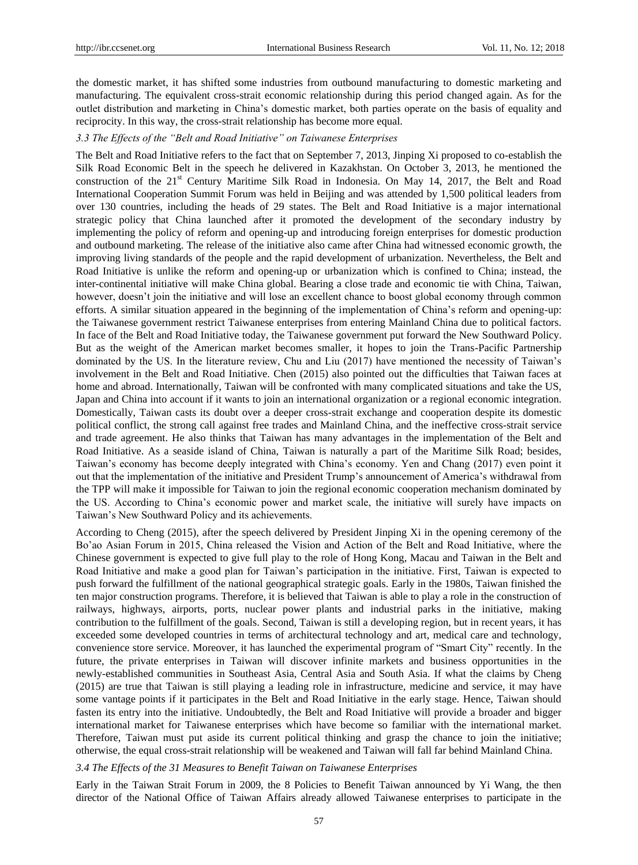the domestic market, it has shifted some industries from outbound manufacturing to domestic marketing and manufacturing. The equivalent cross-strait economic relationship during this period changed again. As for the outlet distribution and marketing in China's domestic market, both parties operate on the basis of equality and reciprocity. In this way, the cross-strait relationship has become more equal.

#### *3.3 The Effects of the "Belt and Road Initiative" on Taiwanese Enterprises*

The Belt and Road Initiative refers to the fact that on September 7, 2013, Jinping Xi proposed to co-establish the Silk Road Economic Belt in the speech he delivered in Kazakhstan. On October 3, 2013, he mentioned the construction of the 21<sup>st</sup> Century Maritime Silk Road in Indonesia. On May 14, 2017, the Belt and Road International Cooperation Summit Forum was held in Beijing and was attended by 1,500 political leaders from over 130 countries, including the heads of 29 states. The Belt and Road Initiative is a major international strategic policy that China launched after it promoted the development of the secondary industry by implementing the policy of reform and opening-up and introducing foreign enterprises for domestic production and outbound marketing. The release of the initiative also came after China had witnessed economic growth, the improving living standards of the people and the rapid development of urbanization. Nevertheless, the Belt and Road Initiative is unlike the reform and opening-up or urbanization which is confined to China; instead, the inter-continental initiative will make China global. Bearing a close trade and economic tie with China, Taiwan, however, doesn't join the initiative and will lose an excellent chance to boost global economy through common efforts. A similar situation appeared in the beginning of the implementation of China's reform and opening-up: the Taiwanese government restrict Taiwanese enterprises from entering Mainland China due to political factors. In face of the Belt and Road Initiative today, the Taiwanese government put forward the New Southward Policy. But as the weight of the American market becomes smaller, it hopes to join the Trans-Pacific Partnership dominated by the US. In the literature review, Chu and Liu (2017) have mentioned the necessity of Taiwan's involvement in the Belt and Road Initiative. Chen (2015) also pointed out the difficulties that Taiwan faces at home and abroad. Internationally, Taiwan will be confronted with many complicated situations and take the US, Japan and China into account if it wants to join an international organization or a regional economic integration. Domestically, Taiwan casts its doubt over a deeper cross-strait exchange and cooperation despite its domestic political conflict, the strong call against free trades and Mainland China, and the ineffective cross-strait service and trade agreement. He also thinks that Taiwan has many advantages in the implementation of the Belt and Road Initiative. As a seaside island of China, Taiwan is naturally a part of the Maritime Silk Road; besides, Taiwan's economy has become deeply integrated with China's economy. Yen and Chang (2017) even point it out that the implementation of the initiative and President Trump's announcement of America's withdrawal from the TPP will make it impossible for Taiwan to join the regional economic cooperation mechanism dominated by the US. According to China's economic power and market scale, the initiative will surely have impacts on Taiwan's New Southward Policy and its achievements.

According to Cheng (2015), after the speech delivered by President Jinping Xi in the opening ceremony of the Bo'ao Asian Forum in 2015, China released the Vision and Action of the Belt and Road Initiative, where the Chinese government is expected to give full play to the role of Hong Kong, Macau and Taiwan in the Belt and Road Initiative and make a good plan for Taiwan's participation in the initiative. First, Taiwan is expected to push forward the fulfillment of the national geographical strategic goals. Early in the 1980s, Taiwan finished the ten major construction programs. Therefore, it is believed that Taiwan is able to play a role in the construction of railways, highways, airports, ports, nuclear power plants and industrial parks in the initiative, making contribution to the fulfillment of the goals. Second, Taiwan is still a developing region, but in recent years, it has exceeded some developed countries in terms of architectural technology and art, medical care and technology, convenience store service. Moreover, it has launched the experimental program of "Smart City" recently. In the future, the private enterprises in Taiwan will discover infinite markets and business opportunities in the newly-established communities in Southeast Asia, Central Asia and South Asia. If what the claims by Cheng (2015) are true that Taiwan is still playing a leading role in infrastructure, medicine and service, it may have some vantage points if it participates in the Belt and Road Initiative in the early stage. Hence, Taiwan should fasten its entry into the initiative. Undoubtedly, the Belt and Road Initiative will provide a broader and bigger international market for Taiwanese enterprises which have become so familiar with the international market. Therefore, Taiwan must put aside its current political thinking and grasp the chance to join the initiative; otherwise, the equal cross-strait relationship will be weakened and Taiwan will fall far behind Mainland China.

#### *3.4 The Effects of the 31 Measures to Benefit Taiwan on Taiwanese Enterprises*

Early in the Taiwan Strait Forum in 2009, the 8 Policies to Benefit Taiwan announced by Yi Wang, the then director of the National Office of Taiwan Affairs already allowed Taiwanese enterprises to participate in the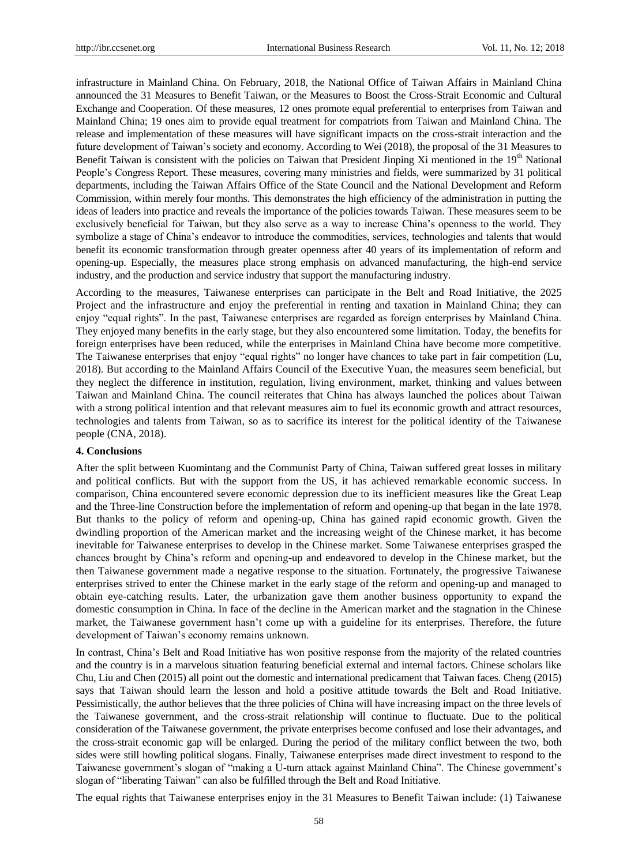infrastructure in Mainland China. On February, 2018, the National Office of Taiwan Affairs in Mainland China announced the 31 Measures to Benefit Taiwan, or the Measures to Boost the Cross-Strait Economic and Cultural Exchange and Cooperation. Of these measures, 12 ones promote equal preferential to enterprises from Taiwan and Mainland China; 19 ones aim to provide equal treatment for compatriots from Taiwan and Mainland China. The release and implementation of these measures will have significant impacts on the cross-strait interaction and the future development of Taiwan's society and economy. According to Wei (2018), the proposal of the 31 Measures to Benefit Taiwan is consistent with the policies on Taiwan that President Jinping Xi mentioned in the  $19<sup>th</sup>$  National People's Congress Report. These measures, covering many ministries and fields, were summarized by 31 political departments, including the Taiwan Affairs Office of the State Council and the National Development and Reform Commission, within merely four months. This demonstrates the high efficiency of the administration in putting the ideas of leaders into practice and reveals the importance of the policies towards Taiwan. These measures seem to be exclusively beneficial for Taiwan, but they also serve as a way to increase China's openness to the world. They symbolize a stage of China's endeavor to introduce the commodities, services, technologies and talents that would benefit its economic transformation through greater openness after 40 years of its implementation of reform and opening-up. Especially, the measures place strong emphasis on advanced manufacturing, the high-end service industry, and the production and service industry that support the manufacturing industry.

According to the measures, Taiwanese enterprises can participate in the Belt and Road Initiative, the 2025 Project and the infrastructure and enjoy the preferential in renting and taxation in Mainland China; they can enjoy "equal rights". In the past, Taiwanese enterprises are regarded as foreign enterprises by Mainland China. They enjoyed many benefits in the early stage, but they also encountered some limitation. Today, the benefits for foreign enterprises have been reduced, while the enterprises in Mainland China have become more competitive. The Taiwanese enterprises that enjoy "equal rights" no longer have chances to take part in fair competition (Lu, 2018). But according to the Mainland Affairs Council of the Executive Yuan, the measures seem beneficial, but they neglect the difference in institution, regulation, living environment, market, thinking and values between Taiwan and Mainland China. The council reiterates that China has always launched the polices about Taiwan with a strong political intention and that relevant measures aim to fuel its economic growth and attract resources, technologies and talents from Taiwan, so as to sacrifice its interest for the political identity of the Taiwanese people (CNA, 2018).

## **4. Conclusions**

After the split between Kuomintang and the Communist Party of China, Taiwan suffered great losses in military and political conflicts. But with the support from the US, it has achieved remarkable economic success. In comparison, China encountered severe economic depression due to its inefficient measures like the Great Leap and the Three-line Construction before the implementation of reform and opening-up that began in the late 1978. But thanks to the policy of reform and opening-up, China has gained rapid economic growth. Given the dwindling proportion of the American market and the increasing weight of the Chinese market, it has become inevitable for Taiwanese enterprises to develop in the Chinese market. Some Taiwanese enterprises grasped the chances brought by China's reform and opening-up and endeavored to develop in the Chinese market, but the then Taiwanese government made a negative response to the situation. Fortunately, the progressive Taiwanese enterprises strived to enter the Chinese market in the early stage of the reform and opening-up and managed to obtain eye-catching results. Later, the urbanization gave them another business opportunity to expand the domestic consumption in China. In face of the decline in the American market and the stagnation in the Chinese market, the Taiwanese government hasn't come up with a guideline for its enterprises. Therefore, the future development of Taiwan's economy remains unknown.

In contrast, China's Belt and Road Initiative has won positive response from the majority of the related countries and the country is in a marvelous situation featuring beneficial external and internal factors. Chinese scholars like Chu, Liu and Chen (2015) all point out the domestic and international predicament that Taiwan faces. Cheng (2015) says that Taiwan should learn the lesson and hold a positive attitude towards the Belt and Road Initiative. Pessimistically, the author believes that the three policies of China will have increasing impact on the three levels of the Taiwanese government, and the cross-strait relationship will continue to fluctuate. Due to the political consideration of the Taiwanese government, the private enterprises become confused and lose their advantages, and the cross-strait economic gap will be enlarged. During the period of the military conflict between the two, both sides were still howling political slogans. Finally, Taiwanese enterprises made direct investment to respond to the Taiwanese government's slogan of "making a U-turn attack against Mainland China". The Chinese government's slogan of "liberating Taiwan" can also be fulfilled through the Belt and Road Initiative.

The equal rights that Taiwanese enterprises enjoy in the 31 Measures to Benefit Taiwan include: (1) Taiwanese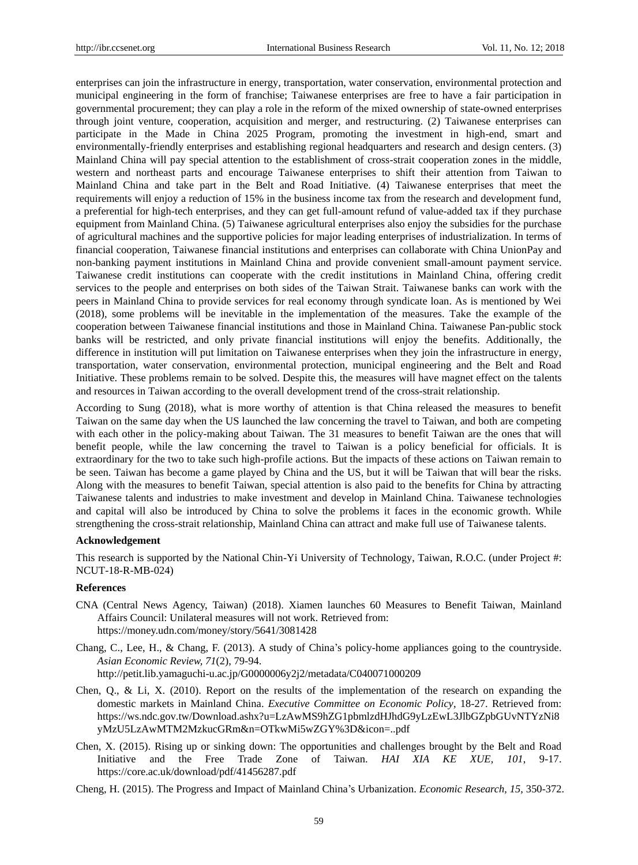enterprises can join the infrastructure in energy, transportation, water conservation, environmental protection and municipal engineering in the form of franchise; Taiwanese enterprises are free to have a fair participation in governmental procurement; they can play a role in the reform of the mixed ownership of state-owned enterprises through joint venture, cooperation, acquisition and merger, and restructuring. (2) Taiwanese enterprises can participate in the Made in China 2025 Program, promoting the investment in high-end, smart and environmentally-friendly enterprises and establishing regional headquarters and research and design centers. (3) Mainland China will pay special attention to the establishment of cross-strait cooperation zones in the middle, western and northeast parts and encourage Taiwanese enterprises to shift their attention from Taiwan to Mainland China and take part in the Belt and Road Initiative. (4) Taiwanese enterprises that meet the requirements will enjoy a reduction of 15% in the business income tax from the research and development fund, a preferential for high-tech enterprises, and they can get full-amount refund of value-added tax if they purchase equipment from Mainland China. (5) Taiwanese agricultural enterprises also enjoy the subsidies for the purchase of agricultural machines and the supportive policies for major leading enterprises of industrialization. In terms of financial cooperation, Taiwanese financial institutions and enterprises can collaborate with China UnionPay and non-banking payment institutions in Mainland China and provide convenient small-amount payment service. Taiwanese credit institutions can cooperate with the credit institutions in Mainland China, offering credit services to the people and enterprises on both sides of the Taiwan Strait. Taiwanese banks can work with the peers in Mainland China to provide services for real economy through syndicate loan. As is mentioned by Wei (2018), some problems will be inevitable in the implementation of the measures. Take the example of the cooperation between Taiwanese financial institutions and those in Mainland China. Taiwanese Pan-public stock banks will be restricted, and only private financial institutions will enjoy the benefits. Additionally, the difference in institution will put limitation on Taiwanese enterprises when they join the infrastructure in energy, transportation, water conservation, environmental protection, municipal engineering and the Belt and Road Initiative. These problems remain to be solved. Despite this, the measures will have magnet effect on the talents and resources in Taiwan according to the overall development trend of the cross-strait relationship.

According to Sung (2018), what is more worthy of attention is that China released the measures to benefit Taiwan on the same day when the US launched the law concerning the travel to Taiwan, and both are competing with each other in the policy-making about Taiwan. The 31 measures to benefit Taiwan are the ones that will benefit people, while the law concerning the travel to Taiwan is a policy beneficial for officials. It is extraordinary for the two to take such high-profile actions. But the impacts of these actions on Taiwan remain to be seen. Taiwan has become a game played by China and the US, but it will be Taiwan that will bear the risks. Along with the measures to benefit Taiwan, special attention is also paid to the benefits for China by attracting Taiwanese talents and industries to make investment and develop in Mainland China. Taiwanese technologies and capital will also be introduced by China to solve the problems it faces in the economic growth. While strengthening the cross-strait relationship, Mainland China can attract and make full use of Taiwanese talents.

# **Acknowledgement**

This research is supported by the National Chin-Yi University of Technology, Taiwan, R.O.C. (under Project #: NCUT-18-R-MB-024)

# **References**

- CNA (Central News Agency, Taiwan) (2018). Xiamen launches 60 Measures to Benefit Taiwan, Mainland Affairs Council: Unilateral measures will not work. Retrieved from: <https://money.udn.com/money/story/5641/3081428>
- Chang, C., Lee, H., & Chang, F. (2013). A study of China's policy-home appliances going to the countryside. *Asian Economic Review, 71*(2), 79-94. http://petit.lib.yamaguchi-u.ac.jp/G0000006y2j2/metadata/C040071000209
- Chen, Q., & Li, X. (2010). Report on the results of the implementation of the research on expanding the domestic markets in Mainland China. *Executive Committee on Economic Policy*, 18-27. Retrieved from: [https://ws.ndc.gov.tw/Download.ashx?u=LzAwMS9hZG1pbmlzdHJhdG9yLzEwL3JlbGZpbGUvNTYzNi8](https://ws.ndc.gov.tw/Download.ashx?u=LzAwMS9hZG1pbmlzdHJhdG9yLzEwL3JlbGZpbGUvNTYzNi8yMzU5LzAwMTM2MzkucGRm&n=OTkwMi5wZGY%3D&icon=..pdf) [yMzU5LzAwMTM2MzkucGRm&n=OTkwMi5wZGY%3D&icon=..pdf](https://ws.ndc.gov.tw/Download.ashx?u=LzAwMS9hZG1pbmlzdHJhdG9yLzEwL3JlbGZpbGUvNTYzNi8yMzU5LzAwMTM2MzkucGRm&n=OTkwMi5wZGY%3D&icon=..pdf)
- Chen, X. (2015). Rising up or sinking down: The opportunities and challenges brought by the Belt and Road Initiative and the Free Trade Zone of Taiwan. *HAI XIA KE XUE, 101*, 9-17. <https://core.ac.uk/download/pdf/41456287.pdf>
- Cheng, H. (2015). The Progress and Impact of Mainland China's Urbanization. *Economic Research, 15*, 350-372.